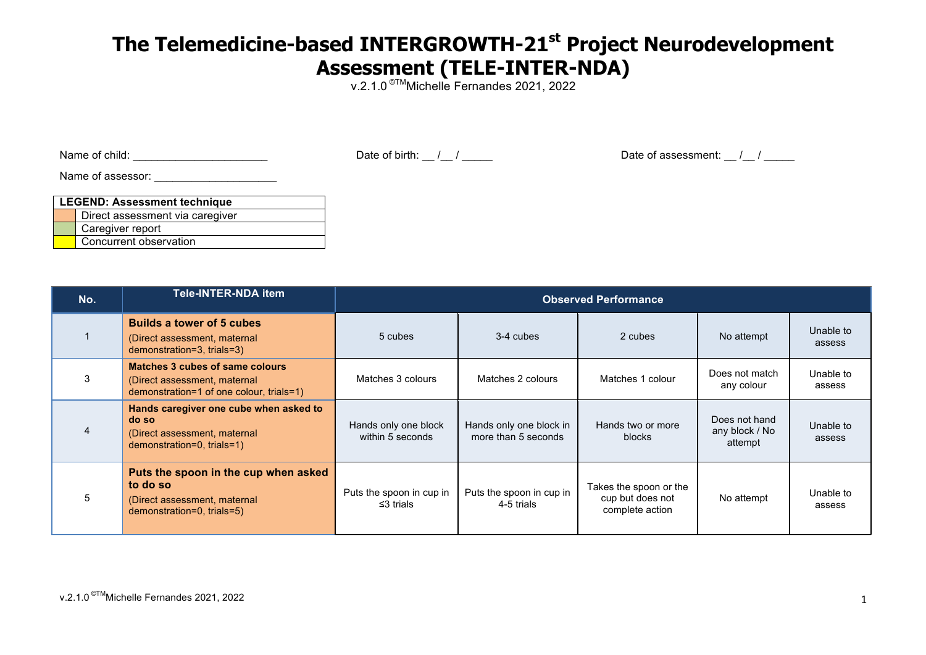## **The Telemedicine-based INTERGROWTH-21st Project Neurodevelopment Assessment (TELE-INTER-NDA)**

v.2.1.0 ©TMMichelle Fernandes 2021, 2022

Name of child:  $\frac{1}{2}$  and  $\frac{1}{2}$  and  $\frac{1}{2}$  Date of birth:  $\frac{1}{2}$  /  $\frac{1}{2}$  /  $\frac{1}{2}$  Date of assessment:  $\frac{1}{2}$  /  $\frac{1}{2}$ 

Name of assessor:

| <b>LEGEND: Assessment technique</b> |                                 |  |  |  |
|-------------------------------------|---------------------------------|--|--|--|
|                                     | Direct assessment via caregiver |  |  |  |
|                                     | Caregiver report                |  |  |  |
|                                     | Concurrent observation          |  |  |  |

| No. | <b>Tele-INTER-NDA item</b>                                                                                         | <b>Observed Performance</b>                 |                                                |                                                               |                                            |                     |
|-----|--------------------------------------------------------------------------------------------------------------------|---------------------------------------------|------------------------------------------------|---------------------------------------------------------------|--------------------------------------------|---------------------|
|     | <b>Builds a tower of 5 cubes</b><br>(Direct assessment, maternal<br>demonstration=3, trials=3)                     | 5 cubes                                     | 3-4 cubes                                      | 2 cubes                                                       | No attempt                                 | Unable to<br>assess |
| 3   | <b>Matches 3 cubes of same colours</b><br>(Direct assessment, maternal<br>demonstration=1 of one colour, trials=1) | Matches 3 colours                           | Matches 2 colours                              | Matches 1 colour                                              | Does not match<br>any colour               | Unable to<br>assess |
| 4   | Hands caregiver one cube when asked to<br>do so<br>(Direct assessment, maternal<br>demonstration=0, trials=1)      | Hands only one block<br>within 5 seconds    | Hands only one block in<br>more than 5 seconds | Hands two or more<br>blocks                                   | Does not hand<br>any block / No<br>attempt | Unable to<br>assess |
| 5   | Puts the spoon in the cup when asked<br>to do so<br>(Direct assessment, maternal<br>demonstration=0, trials=5)     | Puts the spoon in cup in<br>$\leq$ 3 trials | Puts the spoon in cup in<br>4-5 trials         | Takes the spoon or the<br>cup but does not<br>complete action | No attempt                                 | Unable to<br>assess |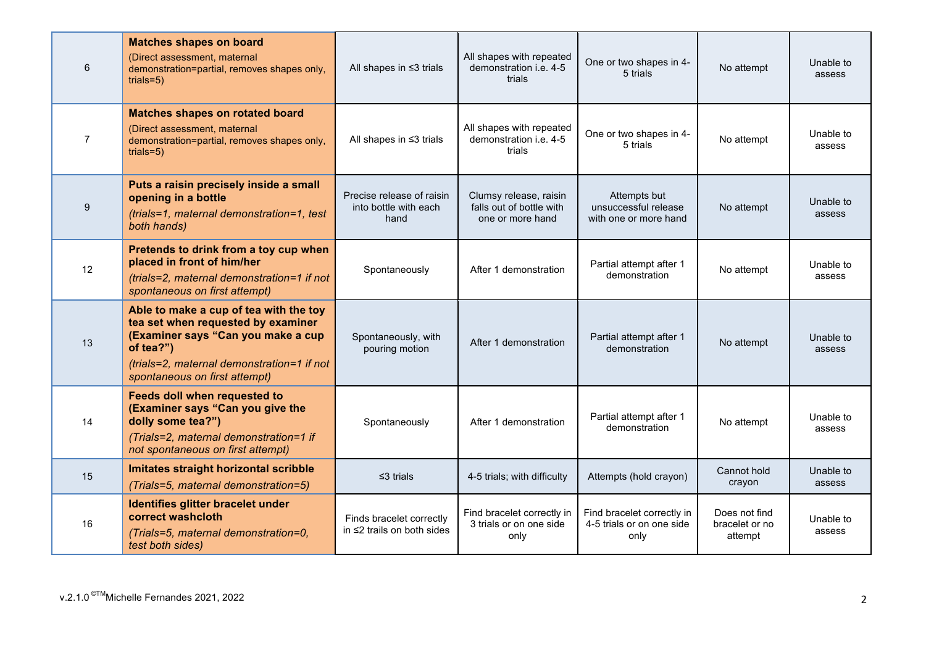| 6  | <b>Matches shapes on board</b><br>(Direct assessment, maternal<br>demonstration=partial, removes shapes only,<br>$trials = 5$ )                                                                                | All shapes in ≤3 trials                                      | All shapes with repeated<br>demonstration i.e. 4-5<br>trials           | One or two shapes in 4-<br>5 trials                             | No attempt                                 | Unable to<br>assess |
|----|----------------------------------------------------------------------------------------------------------------------------------------------------------------------------------------------------------------|--------------------------------------------------------------|------------------------------------------------------------------------|-----------------------------------------------------------------|--------------------------------------------|---------------------|
| 7  | <b>Matches shapes on rotated board</b><br>(Direct assessment, maternal<br>demonstration=partial, removes shapes only,<br>$trials = 5$                                                                          | All shapes in ≤3 trials                                      | All shapes with repeated<br>demonstration i.e. 4-5<br>trials           | One or two shapes in 4-<br>5 trials                             | No attempt                                 | Unable to<br>assess |
| 9  | Puts a raisin precisely inside a small<br>opening in a bottle<br>(trials=1, maternal demonstration=1, test<br>both hands)                                                                                      | Precise release of raisin<br>into bottle with each<br>hand   | Clumsy release, raisin<br>falls out of bottle with<br>one or more hand | Attempts but<br>unsuccessful release<br>with one or more hand   | No attempt                                 | Unable to<br>assess |
| 12 | Pretends to drink from a toy cup when<br>placed in front of him/her<br>Spontaneously<br>(trials=2, maternal demonstration=1 if not<br>spontaneous on first attempt)                                            |                                                              | After 1 demonstration                                                  | Partial attempt after 1<br>demonstration                        | No attempt                                 | Unable to<br>assess |
| 13 | Able to make a cup of tea with the toy<br>tea set when requested by examiner<br>(Examiner says "Can you make a cup<br>of tea?")<br>(trials=2, maternal demonstration=1 if not<br>spontaneous on first attempt) | Spontaneously, with<br>pouring motion                        | After 1 demonstration                                                  | Partial attempt after 1<br>demonstration                        | No attempt                                 | Unable to<br>assess |
| 14 | <b>Feeds doll when requested to</b><br>(Examiner says "Can you give the<br>dolly some tea?")<br>(Trials=2, maternal demonstration=1 if<br>not spontaneous on first attempt)                                    | Spontaneously                                                | After 1 demonstration                                                  | Partial attempt after 1<br>demonstration                        | No attempt                                 | Unable to<br>assess |
| 15 | Imitates straight horizontal scribble<br>(Trials=5, maternal demonstration=5)                                                                                                                                  | $\leq$ 3 trials                                              | 4-5 trials; with difficulty                                            | Attempts (hold crayon)                                          | Cannot hold<br>crayon                      | Unable to<br>assess |
| 16 | Identifies glitter bracelet under<br>correct washcloth<br>(Trials=5, maternal demonstration=0,<br>test both sides)                                                                                             | Finds bracelet correctly<br>in $\leq$ 2 trails on both sides | Find bracelet correctly in<br>3 trials or on one side<br>only          | Find bracelet correctly in<br>4-5 trials or on one side<br>only | Does not find<br>bracelet or no<br>attempt | Unable to<br>assess |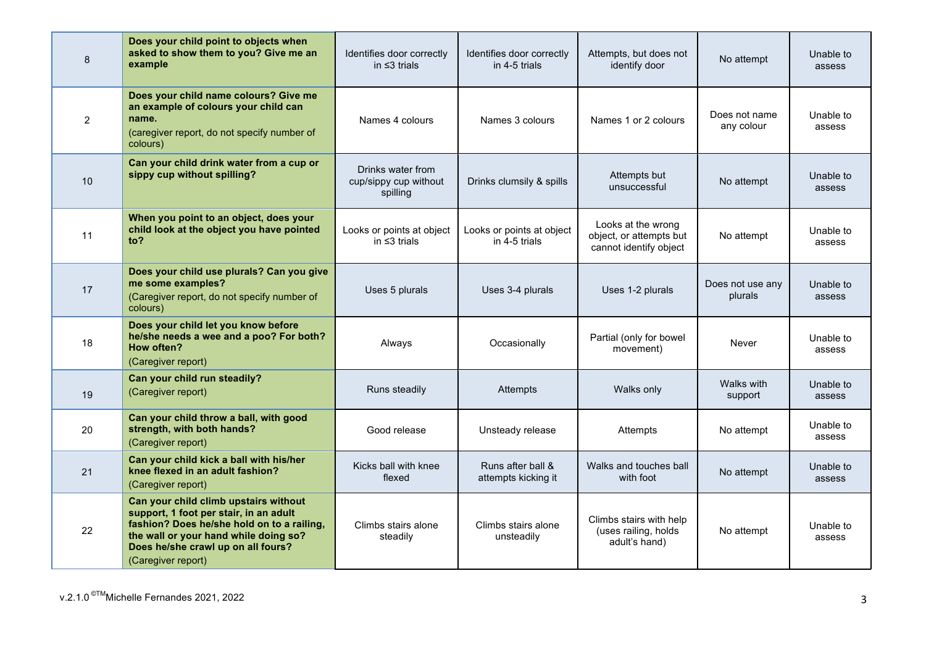| 8              | Does your child point to objects when<br>asked to show them to you? Give me an<br>example                                                                                                                                          | Identifies door correctly<br>in $\leq$ 3 trials        | Identifies door correctly<br>in 4-5 trials | Attempts, but does not<br>identify door                                 | No attempt                   | Unable to<br>assess |
|----------------|------------------------------------------------------------------------------------------------------------------------------------------------------------------------------------------------------------------------------------|--------------------------------------------------------|--------------------------------------------|-------------------------------------------------------------------------|------------------------------|---------------------|
| $\overline{2}$ | Does your child name colours? Give me<br>an example of colours your child can<br>name.<br>(caregiver report, do not specify number of<br>colours)                                                                                  | Names 4 colours                                        | Names 3 colours                            | Names 1 or 2 colours                                                    | Does not name<br>any colour  | Unable to<br>assess |
| 10             | Can your child drink water from a cup or<br>sippy cup without spilling?                                                                                                                                                            | Drinks water from<br>cup/sippy cup without<br>spilling | Drinks clumsily & spills                   | Attempts but<br>unsuccessful                                            | No attempt                   | Unable to<br>assess |
| 11             | When you point to an object, does your<br>child look at the object you have pointed<br>to?                                                                                                                                         | Looks or points at object<br>in $\leq$ 3 trials        | Looks or points at object<br>in 4-5 trials | Looks at the wrong<br>object, or attempts but<br>cannot identify object | No attempt                   | Unable to<br>assess |
| 17             | Does your child use plurals? Can you give<br>me some examples?<br>(Caregiver report, do not specify number of<br>colours)                                                                                                          | Uses 5 plurals                                         | Uses 3-4 plurals                           | Uses 1-2 plurals                                                        | Does not use any<br>plurals  | Unable to<br>assess |
| 18             | Does your child let you know before<br>he/she needs a wee and a poo? For both?<br>How often?<br>(Caregiver report)                                                                                                                 | Always                                                 | Occasionally                               | Partial (only for bowel<br>movement)                                    | Never                        | Unable to<br>assess |
| 19             | Can your child run steadily?<br>(Caregiver report)                                                                                                                                                                                 | Runs steadily                                          | Attempts                                   | Walks only                                                              | <b>Walks with</b><br>support | Unable to<br>assess |
| 20             | Can your child throw a ball, with good<br>strength, with both hands?<br>(Caregiver report)                                                                                                                                         | Good release                                           | Unsteady release                           | Attempts                                                                | No attempt                   | Unable to<br>assess |
| 21             | Can your child kick a ball with his/her<br>knee flexed in an adult fashion?<br>(Caregiver report)                                                                                                                                  | Kicks ball with knee<br>flexed                         | Runs after ball &<br>attempts kicking it   | Walks and touches ball<br>with foot                                     | No attempt                   | Unable to<br>assess |
| 22             | Can your child climb upstairs without<br>support, 1 foot per stair, in an adult<br>fashion? Does he/she hold on to a railing,<br>the wall or your hand while doing so?<br>Does he/she crawl up on all fours?<br>(Caregiver report) | Climbs stairs alone<br>steadily                        | Climbs stairs alone<br>unsteadily          | Climbs stairs with help<br>(uses railing, holds<br>adult's hand)        | No attempt                   | Unable to<br>assess |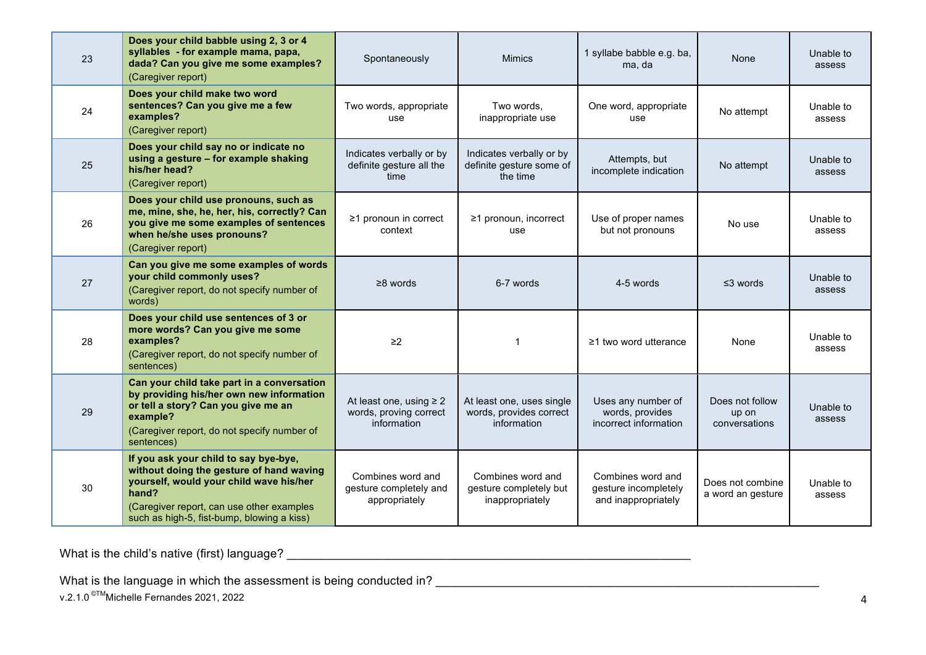| 23 | Does your child babble using 2, 3 or 4<br>syllables - for example mama, papa,<br>dada? Can you give me some examples?<br>(Caregiver report)                                                                                      | Spontaneously                                                         | <b>Mimics</b>                                                       | 1 syllabe babble e.g. ba,<br>ma, da                              | None                                      | Unable to<br>assess |
|----|----------------------------------------------------------------------------------------------------------------------------------------------------------------------------------------------------------------------------------|-----------------------------------------------------------------------|---------------------------------------------------------------------|------------------------------------------------------------------|-------------------------------------------|---------------------|
| 24 | Does your child make two word<br>sentences? Can you give me a few<br>examples?<br>(Caregiver report)                                                                                                                             | Two words, appropriate<br>use                                         | Two words.<br>inappropriate use                                     | One word, appropriate<br>use                                     | No attempt                                | Unable to<br>assess |
| 25 | Does your child say no or indicate no<br>using a gesture - for example shaking<br>his/her head?<br>(Caregiver report)                                                                                                            | Indicates verbally or by<br>definite gesture all the<br>time          | Indicates verbally or by<br>definite gesture some of<br>the time    | Attempts, but<br>incomplete indication                           | No attempt                                | Unable to<br>assess |
| 26 | Does your child use pronouns, such as<br>me, mine, she, he, her, his, correctly? Can<br>you give me some examples of sentences<br>when he/she uses pronouns?<br>(Caregiver report)                                               | $\geq$ 1 pronoun in correct<br>context                                | ≥1 pronoun, incorrect<br>use                                        | Use of proper names<br>but not pronouns                          | No use                                    | Unable to<br>assess |
| 27 | Can you give me some examples of words<br>your child commonly uses?<br>(Caregiver report, do not specify number of<br>words)                                                                                                     | $\geq$ 8 words                                                        | 6-7 words                                                           | 4-5 words                                                        | $\leq$ 3 words                            | Unable to<br>assess |
| 28 | Does your child use sentences of 3 or<br>more words? Can you give me some<br>examples?<br>(Caregiver report, do not specify number of<br>sentences)                                                                              | $\geq$ 2                                                              | $\overline{1}$                                                      | $\geq$ 1 two word utterance                                      | None                                      | Unable to<br>assess |
| 29 | Can your child take part in a conversation<br>by providing his/her own new information<br>or tell a story? Can you give me an<br>example?<br>(Caregiver report, do not specify number of<br>sentences)                           | At least one, using $\geq 2$<br>words, proving correct<br>information | At least one, uses single<br>words, provides correct<br>information | Uses any number of<br>words, provides<br>incorrect information   | Does not follow<br>up on<br>conversations | Unable to<br>assess |
| 30 | If you ask your child to say bye-bye,<br>without doing the gesture of hand waving<br>yourself, would your child wave his/her<br>hand?<br>(Caregiver report, can use other examples<br>such as high-5, fist-bump, blowing a kiss) | Combines word and<br>gesture completely and<br>appropriately          | Combines word and<br>gesture completely but<br>inappropriately      | Combines word and<br>gesture incompletely<br>and inappropriately | Does not combine<br>a word an gesture     | Unable to<br>assess |

What is the child's native (first) language? \_\_\_\_\_\_\_\_\_\_\_\_\_\_\_\_\_\_\_\_\_\_\_\_\_\_\_\_\_\_\_\_\_\_\_\_\_\_\_\_\_\_\_\_\_\_\_\_\_\_\_\_\_\_\_\_\_\_\_\_

What is the language in which the assessment is being conducted in? \_\_\_\_\_\_\_\_\_\_\_\_\_\_\_\_\_\_\_\_\_\_\_\_\_\_\_\_\_\_\_\_\_\_\_\_\_\_\_\_\_\_\_\_\_\_\_\_\_\_\_\_\_\_\_\_\_

 $v.2.1.0^{\circledcirc\text{TM}}$ Michelle Fernandes 2021, 2022  $4$